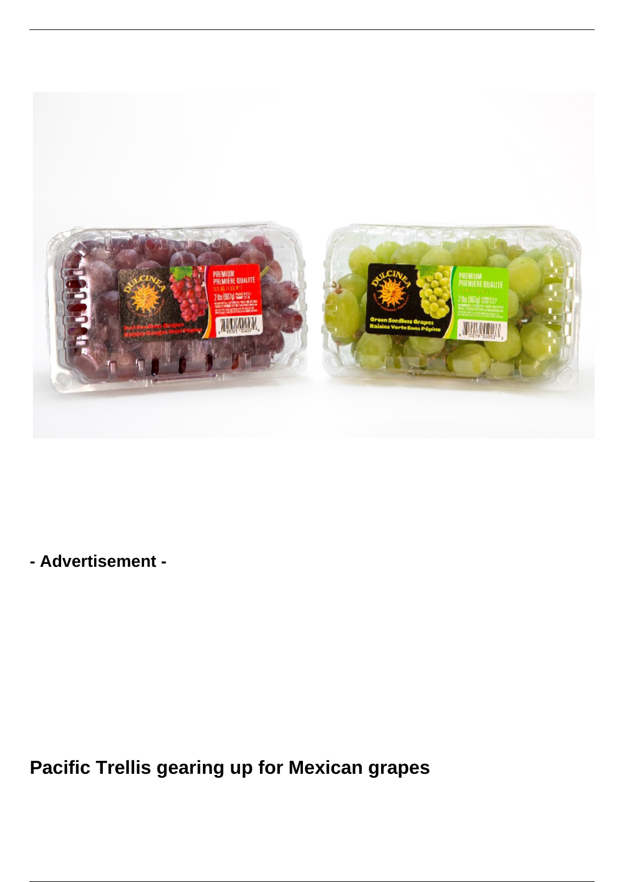

**- Advertisement -**

**Pacific Trellis gearing up for Mexican grapes**